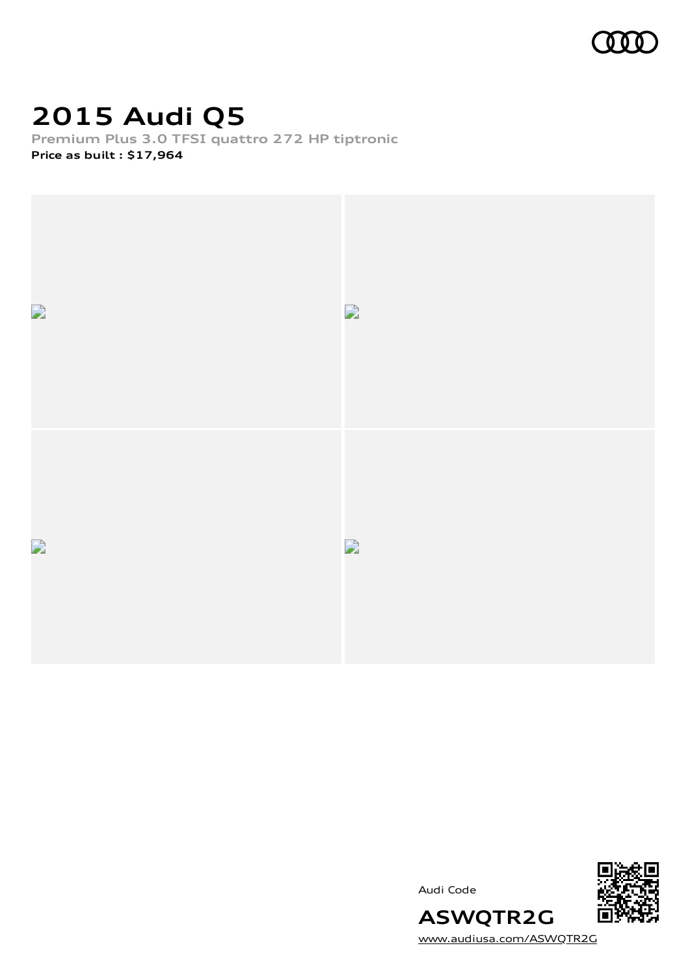

# **2015 Audi Q5**

**Premium Plus 3.0 TFSI quattro 272 HP tiptronic Price as built [:](#page-10-0) \$17,964**



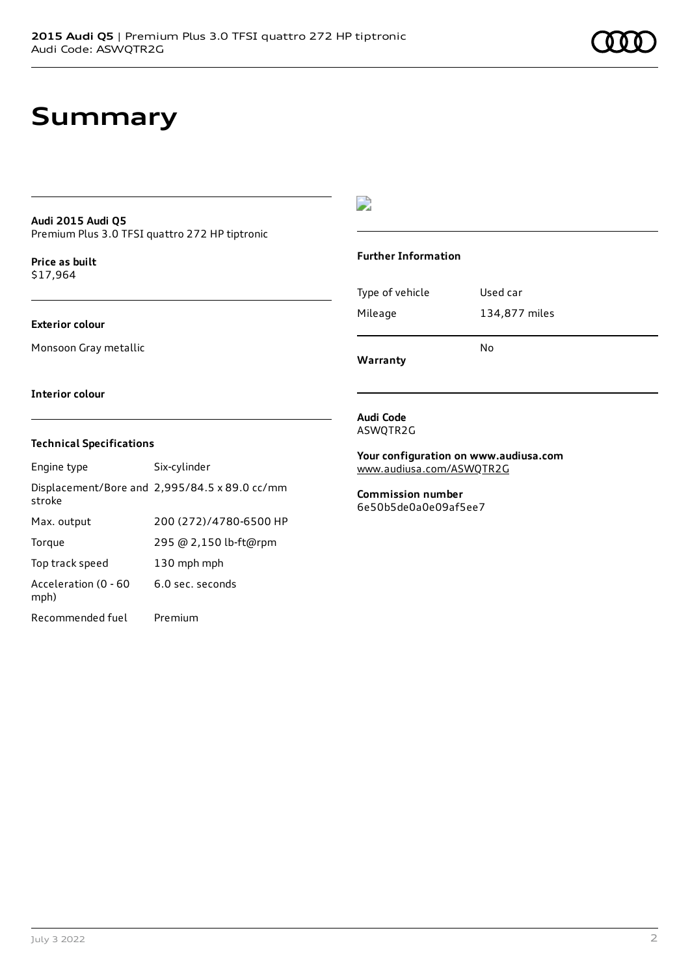# **Summary**

#### **Audi 2015 Audi Q5** Premium Plus 3.0 TFSI quattro 272 HP tiptronic

**Price as buil[t](#page-10-0)** \$17,964

#### **Exterior colour**

Monsoon Gray metallic

### $\overline{\phantom{a}}$

### **Further Information**

Type of vehicle Used car Mileage 134,877 miles No

**Warranty**

#### **Interior colour**

### **Technical Specifications**

| Engine type                  | Six-cylinder                                  |
|------------------------------|-----------------------------------------------|
| stroke                       | Displacement/Bore and 2,995/84.5 x 89.0 cc/mm |
| Max. output                  | 200 (272)/4780-6500 HP                        |
| Torque                       | 295 @ 2,150 lb-ft@rpm                         |
| Top track speed              | 130 mph mph                                   |
| Acceleration (0 - 60<br>mph) | 6.0 sec. seconds                              |
| Recommended fuel             | Premium                                       |

#### **Audi Code** ASWQTR2G

**Your configuration on www.audiusa.com** [www.audiusa.com/ASWQTR2G](https://www.audiusa.com/ASWQTR2G)

**Commission number** 6e50b5de0a0e09af5ee7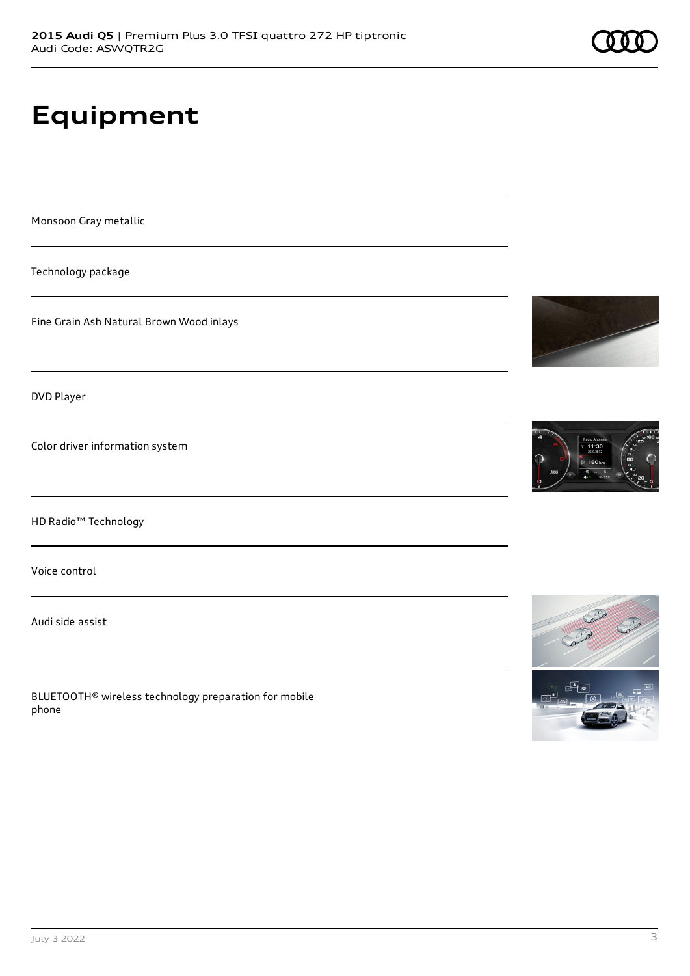# **Equipment**

Monsoon Gray metallic

Technology package

Fine Grain Ash Natural Brown Wood inlays

DVD Player

Color driver information system

HD Radio™ Technology

Voice control

Audi side assist

BLUETOOTH® wireless technology preparation for mobile phone





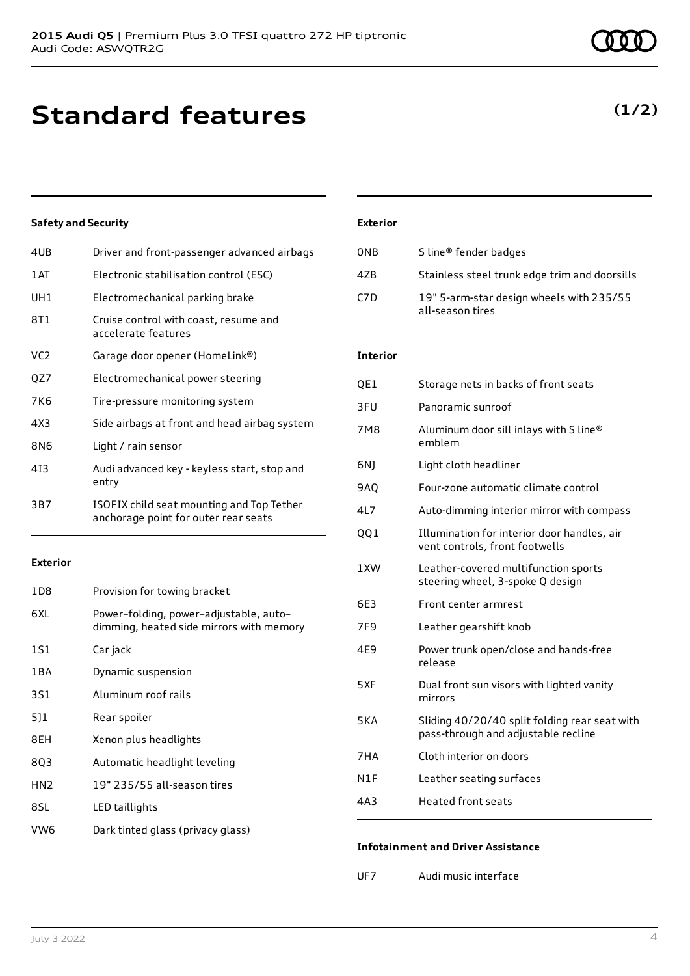**Standard features**

### **Safety and Security**

| 4UB             | Driver and front-passenger advanced airbags                                       |
|-----------------|-----------------------------------------------------------------------------------|
| 1AT             | Electronic stabilisation control (ESC)                                            |
| UH1             | Electromechanical parking brake                                                   |
| 8T1             | Cruise control with coast, resume and<br>accelerate features                      |
| VC <sub>2</sub> | Garage door opener (HomeLink®)                                                    |
| QZ7             | Electromechanical power steering                                                  |
| 7K6             | Tire-pressure monitoring system                                                   |
| 4X <sub>3</sub> | Side airbags at front and head airbag system                                      |
| 8N6             | Light / rain sensor                                                               |
| 413             | Audi advanced key - keyless start, stop and<br>entry                              |
| 3B7             | ISOFIX child seat mounting and Top Tether<br>anchorage point for outer rear seats |
|                 |                                                                                   |

#### **Exterior**

| 1D8             | Provision for towing bracket                                                       |
|-----------------|------------------------------------------------------------------------------------|
| 6XL             | Power-folding, power-adjustable, auto-<br>dimming, heated side mirrors with memory |
| 1S1             | Car jack                                                                           |
| 1 B A           | Dynamic suspension                                                                 |
| 3S1             | Aluminum roof rails                                                                |
| 511             | Rear spoiler                                                                       |
| 8EH             | Xenon plus headlights                                                              |
| 803             | Automatic headlight leveling                                                       |
| HN <sub>2</sub> | 19" 235/55 all-season tires                                                        |
| 8SL             | LED taillights                                                                     |
| VW6             | Dark tinted glass (privacy glass)                                                  |

| 0NB  | S line <sup>®</sup> fender badges                            |
|------|--------------------------------------------------------------|
| 47B  | Stainless steel trunk edge trim and doorsills                |
| C7D. | 19" 5-arm-star design wheels with 235/55<br>all-season tires |

### **Interior**

| QE1             | Storage nets in backs of front seats                                                 |
|-----------------|--------------------------------------------------------------------------------------|
| 3FU             | Panoramic sunroof                                                                    |
| 7M8             | Aluminum door sill inlays with S line®<br>emblem                                     |
| 6N)             | Light cloth headliner                                                                |
| 9AQ             | Four-zone automatic climate control                                                  |
| 4L7             | Auto-dimming interior mirror with compass                                            |
| QQ1             | Illumination for interior door handles, air<br>vent controls, front footwells        |
| 1XW             | Leather-covered multifunction sports<br>steering wheel, 3-spoke Q design             |
| 6E3             | Front center armrest                                                                 |
| 7F <sub>9</sub> | Leather gearshift knob                                                               |
| 4E9             | Power trunk open/close and hands-free<br>release                                     |
| 5XF             | Dual front sun visors with lighted vanity<br>mirrors                                 |
| 5KA             | Sliding 40/20/40 split folding rear seat with<br>pass-through and adjustable recline |
| 7HA             | Cloth interior on doors                                                              |
| N1F             | Leather seating surfaces                                                             |
| 4A3             | <b>Heated front seats</b>                                                            |

### **Infotainment and Driver Assistance**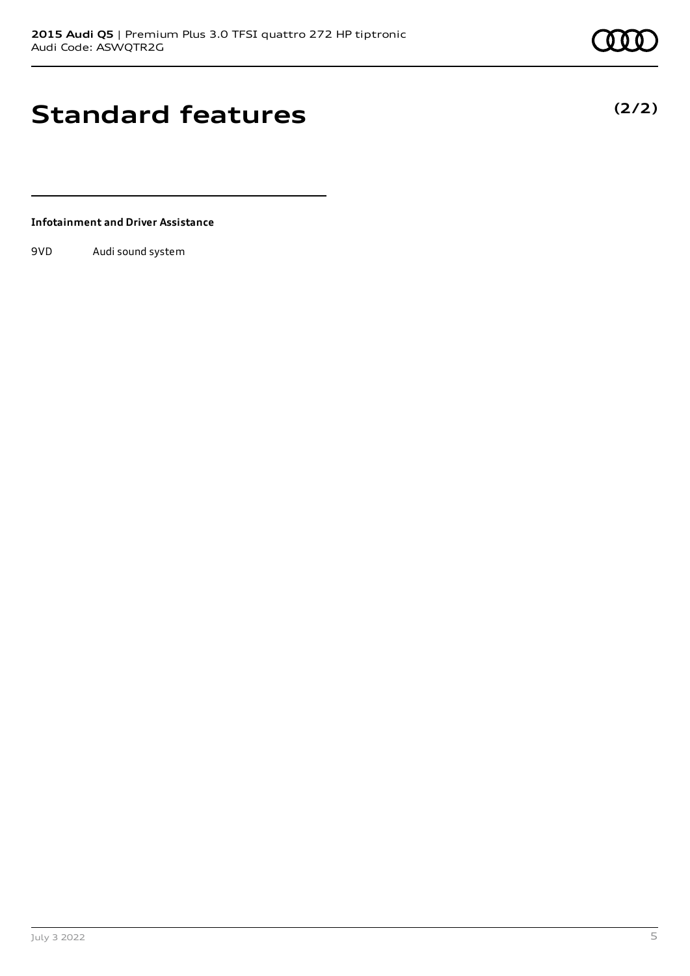**(2/2)**

# **Standard features**

**Infotainment and Driver Assistance**

9VD Audi sound system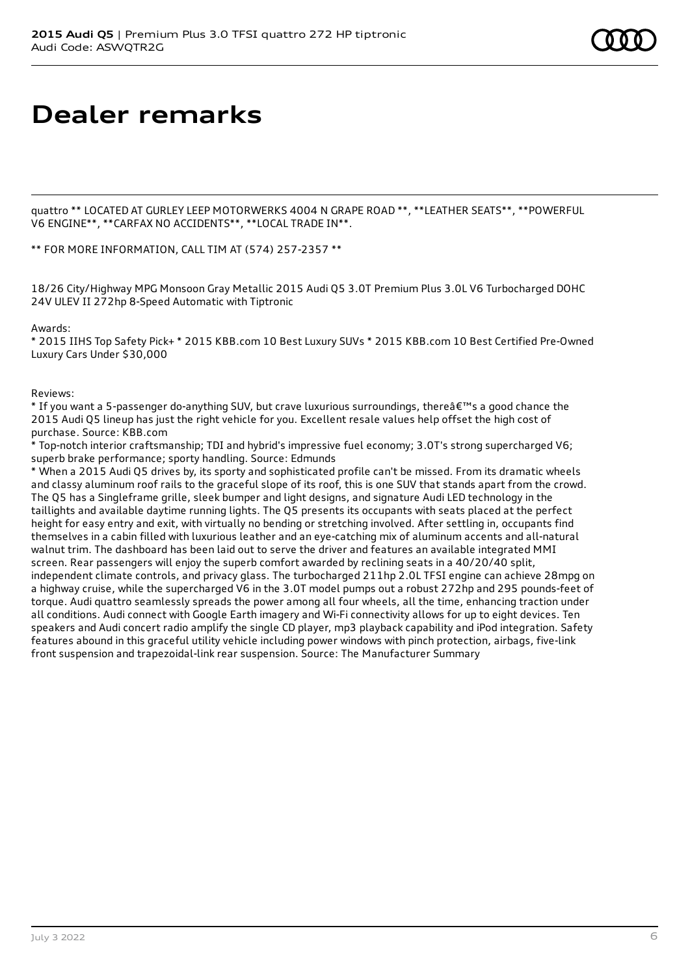### **Dealer remarks**

quattro \*\* LOCATED AT GURLEY LEEP MOTORWERKS 4004 N GRAPE ROAD \*\*, \*\*LEATHER SEATS\*\*, \*\*POWERFUL V6 ENGINE\*\*, \*\*CARFAX NO ACCIDENTS\*\*, \*\*LOCAL TRADE IN\*\*.

\*\* FOR MORE INFORMATION, CALL TIM AT (574) 257-2357 \*\*

18/26 City/Highway MPG Monsoon Gray Metallic 2015 Audi Q5 3.0T Premium Plus 3.0L V6 Turbocharged DOHC 24V ULEV II 272hp 8-Speed Automatic with Tiptronic

Awards:

\* 2015 IIHS Top Safety Pick+ \* 2015 KBB.com 10 Best Luxury SUVs \* 2015 KBB.com 10 Best Certified Pre-Owned Luxury Cars Under \$30,000

Reviews:

\* If you want a 5-passenger do-anything SUV, but crave luxurious surroundings, there  $\hat{\mathbf{a}} \in \mathbb{R}^N$  a good chance the 2015 Audi Q5 lineup has just the right vehicle for you. Excellent resale values help offset the high cost of purchase. Source: KBB.com

\* Top-notch interior craftsmanship; TDI and hybrid's impressive fuel economy; 3.0T's strong supercharged V6; superb brake performance; sporty handling. Source: Edmunds

\* When a 2015 Audi Q5 drives by, its sporty and sophisticated profile can't be missed. From its dramatic wheels and classy aluminum roof rails to the graceful slope of its roof, this is one SUV that stands apart from the crowd. The Q5 has a Singleframe grille, sleek bumper and light designs, and signature Audi LED technology in the taillights and available daytime running lights. The Q5 presents its occupants with seats placed at the perfect height for easy entry and exit, with virtually no bending or stretching involved. After settling in, occupants find themselves in a cabin filled with luxurious leather and an eye-catching mix of aluminum accents and all-natural walnut trim. The dashboard has been laid out to serve the driver and features an available integrated MMI screen. Rear passengers will enjoy the superb comfort awarded by reclining seats in a 40/20/40 split, independent climate controls, and privacy glass. The turbocharged 211hp 2.0L TFSI engine can achieve 28mpg on a highway cruise, while the supercharged V6 in the 3.0T model pumps out a robust 272hp and 295 pounds-feet of torque. Audi quattro seamlessly spreads the power among all four wheels, all the time, enhancing traction under all conditions. Audi connect with Google Earth imagery and Wi-Fi connectivity allows for up to eight devices. Ten speakers and Audi concert radio amplify the single CD player, mp3 playback capability and iPod integration. Safety features abound in this graceful utility vehicle including power windows with pinch protection, airbags, five-link front suspension and trapezoidal-link rear suspension. Source: The Manufacturer Summary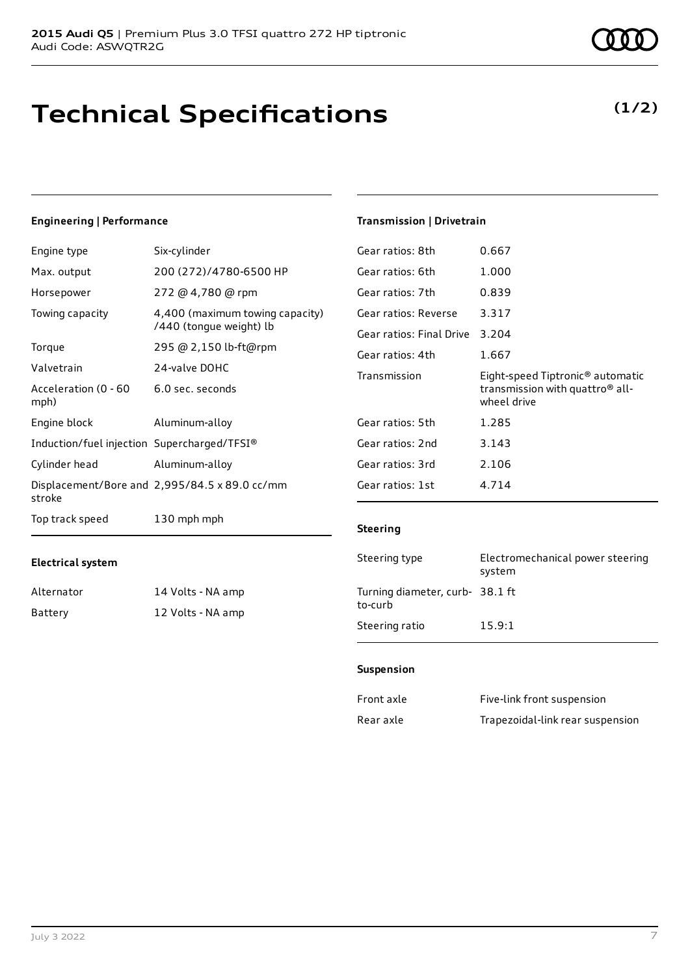# **Technical Specifications**

### July 3 2022 7

### **Engineering | Performance**

**Electrical system**

Alternator 14 Volts - NA amp Battery 12 Volts - NA amp

| Engine type                                 | Six-cylinder                                               |
|---------------------------------------------|------------------------------------------------------------|
| Max. output                                 | 200 (272)/4780-6500 HP                                     |
| Horsepower                                  | 272 @ 4,780 @ rpm                                          |
| Towing capacity                             | 4,400 (maximum towing capacity)<br>/440 (tongue weight) lb |
| Torque                                      | 295 @ 2,150 lb-ft@rpm                                      |
| Valvetrain                                  | 24-valve DOHC                                              |
| Acceleration (0 - 60<br>mph)                | 6.0 sec. seconds                                           |
| Engine block                                | Aluminum-alloy                                             |
| Induction/fuel injection Supercharged/TFSI® |                                                            |
| Cylinder head                               | Aluminum-alloy                                             |
| stroke                                      | Displacement/Bore and 2,995/84.5 x 89.0 cc/mm              |
| Top track speed                             | 130 mph mph                                                |

### Gear ratios: 8th 0.667 Gear ratios: 6th 1.000 Gear ratios: 7th 0.839 Gear ratios: Reverse 3.317 Gear ratios: Final Drive 3.204 Gear ratios: 4th 1.667 Transmission Eight-speed Tiptronic® automatic transmission with quattro® allwheel drive Gear ratios: 5th 1.285 Gear ratios: 2nd 3.143 Gear ratios: 3rd 2.106 Gear ratios: 1st 4.714

#### **Steering**

**Transmission | Drivetrain**

| Steering type                             | Electromechanical power steering<br>system |
|-------------------------------------------|--------------------------------------------|
| Turning diameter, curb-38.1 ft<br>to-curb |                                            |
| Steering ratio                            | 15.9:1                                     |

#### **Suspension**

| Front axle | Five-link front suspension       |
|------------|----------------------------------|
| Rear axle  | Trapezoidal-link rear suspension |

### **(1/2)**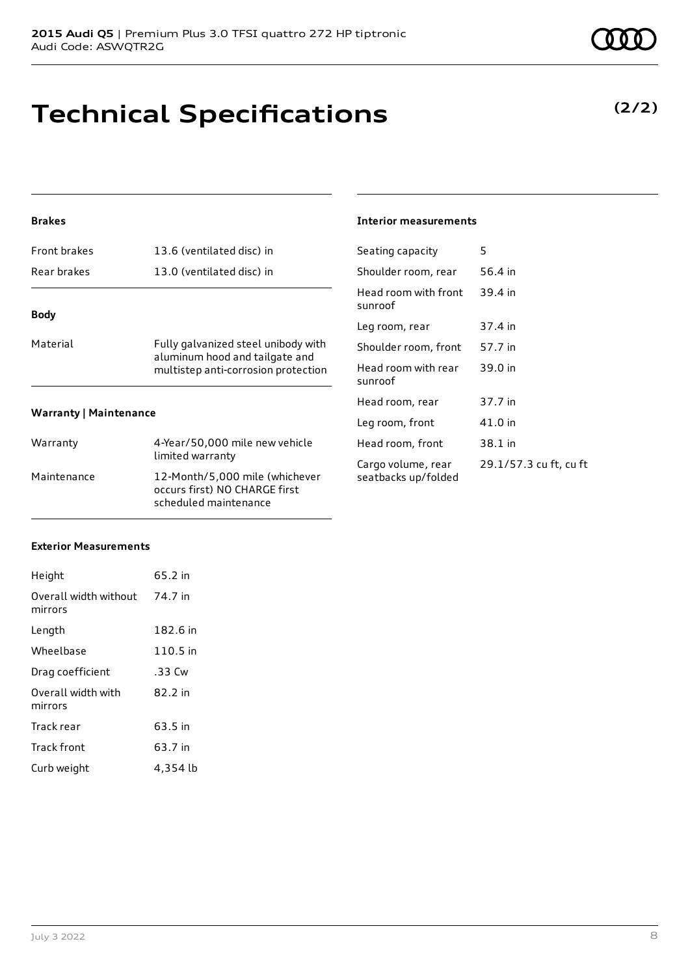# **Technical Specifications**

### **Brakes**

| <b>Front brakes</b>           | 13.6 (ventilated disc) in                                                                                    |  |
|-------------------------------|--------------------------------------------------------------------------------------------------------------|--|
| Rear brakes                   | 13.0 (ventilated disc) in                                                                                    |  |
| <b>Body</b>                   |                                                                                                              |  |
| Material                      | Fully galvanized steel unibody with<br>aluminum hood and tailgate and<br>multistep anti-corrosion protection |  |
| <b>Warranty   Maintenance</b> |                                                                                                              |  |
| Warranty                      | 4-Year/50,000 mile new vehicle<br>limited warranty                                                           |  |
| Maintenance                   | 12-Month/5,000 mile (whichever<br>occurs first) NO CHARGE first                                              |  |

scheduled maintenance

#### **Interior measurements**

| Seating capacity                          | 5                      |
|-------------------------------------------|------------------------|
| Shoulder room, rear                       | 56.4 in                |
| Head room with front<br>sunroof           | 39.4 in                |
| Leg room, rear                            | 37.4 in                |
| Shoulder room, front                      | 57.7 in                |
| Head room with rear<br>sunroof            | 39.0 in                |
| Head room, rear                           | 37.7 in                |
| Leg room, front                           | 41.0 in                |
| Head room, front                          | 38.1 in                |
| Cargo volume, rear<br>seatbacks up/folded | 29.1/57.3 cu ft, cu ft |

### **Exterior Measurements**

| Height                           | 65.2 in  |
|----------------------------------|----------|
| Overall width without<br>mirrors | 74.7 in  |
| Length                           | 182.6 in |
| Wheelbase                        | 110.5 in |
| Drag coefficient                 | .33 Cw   |
| Overall width with<br>mirrors    | 82.2 in  |
| Track rear                       | 63.5 in  |
| <b>Track front</b>               | 63.7 in  |
| Curb weight                      | 4,354 lb |

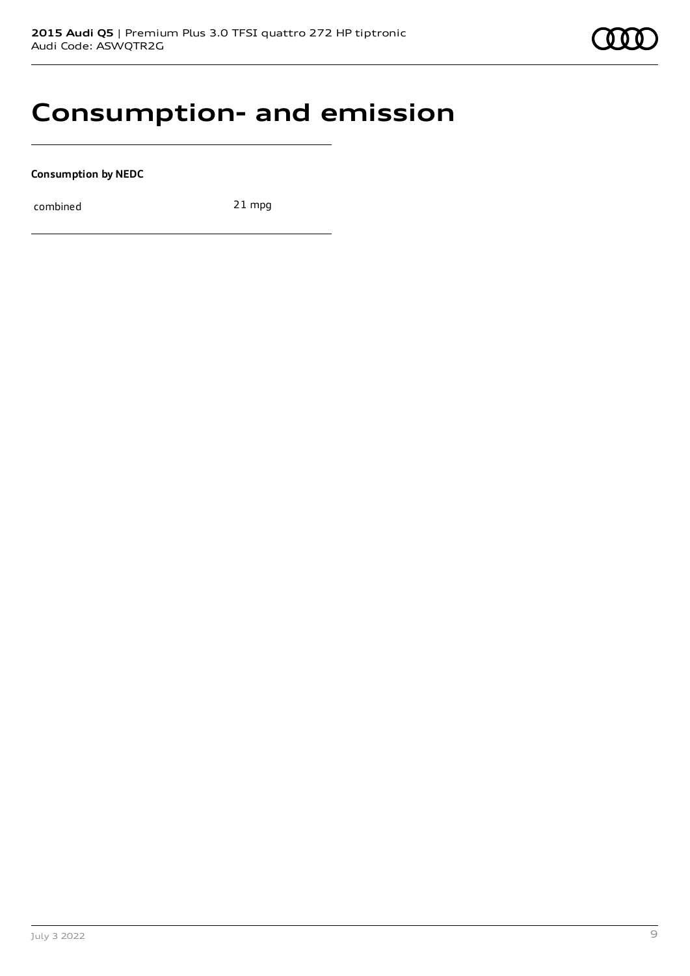

### **Consumption- and emission**

**Consumption by NEDC**

combined 21 mpg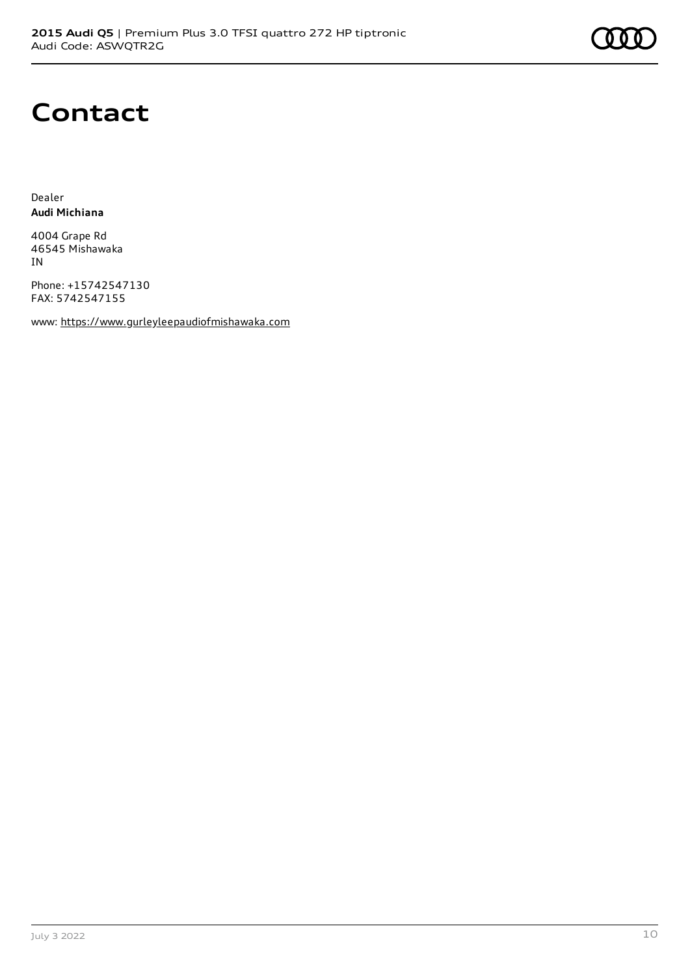### **Contact**

Dealer **Audi Michiana**

4004 Grape Rd 46545 Mishawaka IN

Phone: +15742547130 FAX: 5742547155

www: [https://www.gurleyleepaudiofmishawaka.com](https://www.gurleyleepaudiofmishawaka.com/)